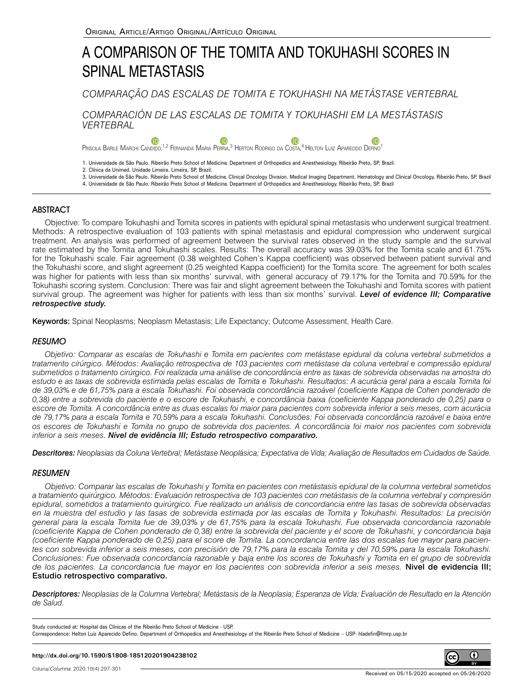# A COMPARISON OF THE TOMITA AND TOKUHASHI SCORES IN SPINAL METASTASIS

*COMPARAÇÃO DAS ESCALAS DE TOMITA E TOKUHASHI NA METÁSTASE VERTEBRAL*

*COMPARACIÓN DE LAS ESCALAS DE TOMITA Y TOKUHASHI EM LA MESTÁSTASIS VERTEBRAL*

 $\mathbf 6$  $\mathbf 6$ Œ Priscila Barile Marchi Candido[,](https://orcid.org/0000-0003-3965-6886)<sup>[1](https://orcid.org/0000-0003-4274-0130),2</sup> Fernanda Maria Perria,<sup>3</sup> Herton Rodrigo da Costa,<sup>4</sup> Helton Luiz Aparecido Defino<sup>1</sup>

1. Universidade de São Paulo. Ribeirão Preto School of Medicine. Department of Orthopedics and Anesthesiology. Ribeirão Preto, SP, Brazil.

- 2. Clínica da Unimed. Unidade Limeira. Limeira, SP, Brazil.
- 3. Universidade de São Paulo. Ribeirão Preto School of Medicine. Clinical Oncology Division. Medical Imaging Department. Hematology and Clinical Oncology. Ribeirão Preto, SP, Brazil

4. Universidade de São Paulo. Ribeirão Preto School of Medicine. Department of Orthopedics and Anesthesiology. Ribeirão Preto, SP. Brazil

# **ABSTRACT**

Objective: To compare Tokuhashi and Tomita scores in patients with epidural spinal metastasis who underwent surgical treatment. Methods: A retrospective evaluation of 103 patients with spinal metastasis and epidural compression who underwent surgical treatment. An analysis was performed of agreement between the survival rates observed in the study sample and the survival rate estimated by the Tomita and Tokuhashi scales. Results: The overall accuracy was 39.03% for the Tomita scale and 61.75% for the Tokuhashi scale. Fair agreement (0.38 weighted Cohen's Kappa coefficient) was observed between patient survival and the Tokuhashi score, and slight agreement (0.25 weighted Kappa coefficient) for the Tomita score. The agreement for both scales was higher for patients with less than six months' survival, with general accuracy of 79.17% for the Tomita and 70.59% for the Tokuhashi scoring system. Conclusion: There was fair and slight agreement between the Tokuhashi and Tomita scores with patient survival group. The agreement was higher for patients with less than six months' survival. *Level of evidence III; Comparative retrospective study.*

Keywords: Spinal Neoplasms; Neoplasm Metastasis; Life Expectancy; Outcome Assessment, Health Care.

# **RESUMO**

*Objetivo: Comparar as escalas de Tokuhashi e Tomita em pacientes com metástase epidural da coluna vertebral submetidos a tratamento cirúrgico. Métodos: Avaliação retrospectiva de 103 pacientes com metástase da coluna vertebral e compressão epidural submetidos o tratamento cirúrgico. Foi realizada uma análise de concordância entre as taxas de sobrevida observadas na amostra do estudo e as taxas de sobrevida estimada pelas escalas de Tomita e Tokuhashi. Resultados: A acurácia geral para a escala Tomita foi de 39,03% e de 61,75% para a escala Tokuhashi. Foi observada concordância razoável (coeficiente Kappa de Cohen ponderado de 0,38) entre a sobrevida do paciente e o escore de Tokuhashi, e concordância baixa (coeficiente Kappa ponderado de 0,25) para o escore de Tomita. A concordância entre as duas escalas foi maior para pacientes com sobrevida inferior a seis meses, com acurácia de 79,17% para a escala Tomita e 70,59% para a escala Tokuhashi. Conclusões: Foi observada concordância razoável e baixa entre os escores de Tokuhashi e Tomita no grupo de sobrevida dos pacientes. A concordância foi maior nos pacientes com sobrevida inferior a seis meses. Nível de evidência III; Estudo retrospectivo comparativo.*

*Descritores: Neoplasias da Coluna Vertebral; Metástase Neoplásica; Expectativa de Vida; Avaliação de Resultados em Cuidados de Saúde.*

# **RESUMEN**

*Objetivo: Comparar las escalas de Tokuhashi y Tomita en pacientes con metástasis epidural de la columna vertebral sometidos a tratamiento quirúrgico. Métodos: Evaluación retrospectiva de 103 pacientes con metástasis de la columna vertebral y compresión epidural, sometidos a tratamiento quirúrgico. Fue realizado un análisis de concordancia entre las tasas de sobrevida observadas en la muestra del estudio y las tasas de sobrevida estimada por las escalas de Tomita y Tokuhashi. Resultados: La precisión general para la escala Tomita fue de 39,03% y de 61,75% para la escala Tokuhashi. Fue observada concordancia razonable (coeficiente Kappa de Cohen ponderado de 0,38) entre la sobrevida del paciente y el score de Tokuhashi, y concordancia baja (coeficiente Kappa ponderado de 0,25) para el score de Tomita. La concordancia entre las dos escalas fue mayor para pacientes con sobrevida inferior a seis meses, con precisión de 79,17% para la escala Tomita y del 70,59% para la escala Tokuhashi. Conclusiones: Fue observada concordancia razonable y baja entre los scores de Tokuhashi y Tomita en el grupo de sobrevida de los pacientes. La concordancia fue mayor en los pacientes con sobrevida inferior a seis meses.* Nivel de evidencia III; Estudio retrospectivo comparativo.

*Descriptores: Neoplasias de la Columna Vertebral; Metástasis de la Neoplasia; Esperanza de Vida; Evaluación de Resultado en la Atención de Salud.*

Study conducted at: Hospital das Clínicas of the Ribeirão Preto School of Medicine - USP. Correspondence: Helton Luiz Aparecido Defino. Department of Orthopedics and Anesthesiology of the Ribeirão Preto School of Medicine – USP- hladefin@fmrp.usp.br

**http://dx.doi.org/10.1590/S1808-185120201904238102**

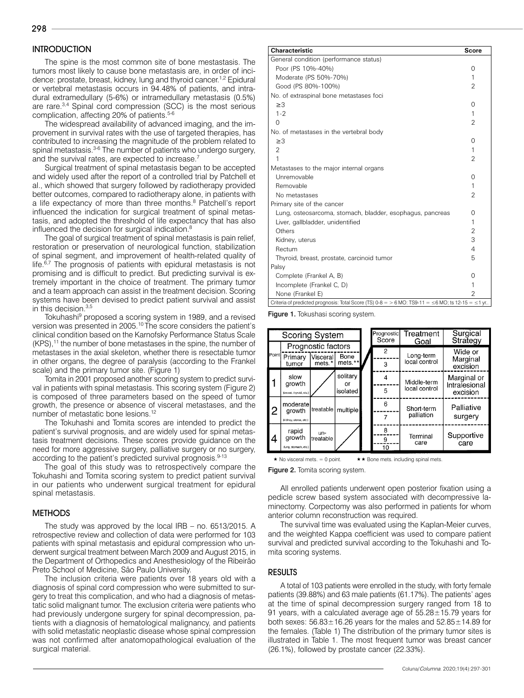# **INTRODUCTION**

The spine is the most common site of bone mestastasis. The tumors most likely to cause bone metastasis are, in order of incidence: prostate, breast, kidney, lung and thyroid cancer.1,2 Epidural or vertebral metastasis occurs in 94.48% of patients, and intradural extramedullary (5-6%) or intramedullary metastasis (0.5%) are rare.3,4 Spinal cord compression (SCC) is the most serious complication, affecting 20% of patients.<sup>5-6</sup>

The widespread availability of advanced imaging, and the improvement in survival rates with the use of targeted therapies, has contributed to increasing the magnitude of the problem related to spinal metastasis.<sup>3-6</sup> The number of patients who undergo surgery, and the survival rates, are expected to increase.<sup>7</sup>

Surgical treatment of spinal metastasis began to be accepted and widely used after the report of a controlled trial by Patchell et al., which showed that surgery followed by radiotherapy provided better outcomes, compared to radiotherapy alone, in patients with a life expectancy of more than three months.<sup>8</sup> Patchell's report influenced the indication for surgical treatment of spinal metastasis, and adopted the threshold of life expectancy that has also influenced the decision for surgical indication.8

The goal of surgical treatment of spinal metastasis is pain relief, restoration or preservation of neurological function, stabilization of spinal segment, and improvement of health-related quality of life.<sup>6,7</sup> The prognosis of patients with epidural metastasis is not promising and is difficult to predict. But predicting survival is extremely important in the choice of treatment. The primary tumor and a team approach can assist in the treatment decision. Scoring systems have been devised to predict patient survival and assist in this decision.3,5

Tokuhashi<sup>9</sup> proposed a scoring system in 1989, and a revised version was presented in 2005.10 The score considers the patient's clinical condition based on the Karnofsky Performance Status Scale  $(KPS)$ ,<sup>11</sup> the number of bone metastases in the spine, the number of metastases in the axial skeleton, whether there is resectable tumor in other organs, the degree of paralysis (according to the Frankel scale) and the primary tumor site. (Figure 1)

Tomita in 2001 proposed another scoring system to predict survival in patients with spinal metastasis. This scoring system (Figure 2) is composed of three parameters based on the speed of tumor growth, the presence or absence of visceral metastases, and the number of metastatic bone lesions.12

The Tokuhashi and Tomita scores are intended to predict the patient's survival prognosis, and are widely used for spinal metastasis treatment decisions. These scores provide guidance on the need for more aggressive surgery, palliative surgery or no surgery, according to the patient's predicted survival prognosis.<sup>9-13</sup>

The goal of this study was to retrospectively compare the Tokuhashi and Tomita scoring system to predict patient survival in our patients who underwent surgical treatment for epidural spinal metastasis.

#### METHODS

The study was approved by the local IRB – no. 6513/2015. A retrospective review and collection of data were performed for 103 patients with spinal metastasis and epidural compression who underwent surgical treatment between March 2009 and August 2015, in the Department of Orthopedics and Anesthesiology of the Ribeirão Preto School of Medicine, São Paulo University.

The inclusion criteria were patients over 18 years old with a diagnosis of spinal cord compression who were submitted to surgery to treat this complication, and who had a diagnosis of metastatic solid malignant tumor. The exclusion criteria were patients who had previously undergone surgery for spinal decompression, patients with a diagnosis of hematological malignancy, and patients with solid metastatic neoplastic disease whose spinal compression was not confirmed after anatomopathological evaluation of the surgical material.

| <b>Characteristic</b>                                                                                        | <b>Score</b>   |
|--------------------------------------------------------------------------------------------------------------|----------------|
| General condition (performance status)                                                                       |                |
| Poor (PS 10%-40%)                                                                                            | $\Omega$       |
| Moderate (PS 50%-70%)                                                                                        | 1              |
| Good (PS 80%-100%)                                                                                           | $\overline{2}$ |
| No. of extraspinal bone metastases foci                                                                      |                |
| $\geq$ 3                                                                                                     | $\Omega$       |
| $1 - 2$                                                                                                      | 1              |
| 0                                                                                                            | $\overline{2}$ |
| No. of metastases in the vertebral body                                                                      |                |
| $\geq$ 3                                                                                                     | $^{(1)}$       |
| $\overline{2}$                                                                                               | 1              |
| 1                                                                                                            | $\overline{2}$ |
| Metastases to the major internal organs                                                                      |                |
| Unremovable                                                                                                  | $^{()}$        |
| Removable                                                                                                    | 1              |
| No metastases                                                                                                | $\overline{2}$ |
| Primary site of the cancer                                                                                   |                |
| Lung, osteosarcoma, stomach, bladder, esophagus, pancreas                                                    | $^{(1)}$       |
| Liver, gallbladder, unidentified                                                                             | 1              |
| Others                                                                                                       | $\overline{2}$ |
| Kidney, uterus                                                                                               | 3              |
| Rectum                                                                                                       | 4              |
| Thyroid, breast, prostate, carcinoid tumor                                                                   | 5              |
| Palsy                                                                                                        |                |
| Complete (Frankel A, B)                                                                                      | 0              |
| Incomplete (Frankel C, D)                                                                                    | 1              |
| None (Frankel E)                                                                                             | 2              |
| Criteria of predicted prognosis: Total Score (TS) $0.8 = 8$ MO: TS9-11 = $\leq 6$ MO; ts 12-15 = $\leq$ 1 yr |                |

Figure 1. Tokushasi scoring system.



 $\star$  No visceral mets. = 0 point.  $\star \star$  Bone mets. including spinal mets

Figure 2. Tomita scoring system.

All enrolled patients underwent open posterior fixation using a pedicle screw based system associated with decompressive laminectomy. Corpectomy was also performed in patients for whom anterior column reconstruction was required.

The survival time was evaluated using the Kaplan-Meier curves, and the weighted Kappa coefficient was used to compare patient survival and predicted survival according to the Tokuhashi and Tomita scoring systems.

#### RESULTS

A total of 103 patients were enrolled in the study, with forty female patients (39.88%) and 63 male patients (61.17%). The patients' ages at the time of spinal decompression surgery ranged from 18 to 91 years, with a calculated average age of 55.28±15.79 years for both sexes:  $56.83 \pm 16.26$  years for the males and  $52.85 \pm 14.89$  for the females. (Table 1) The distribution of the primary tumor sites is illustrated in Table 1. The most frequent tumor was breast cancer (26.1%), followed by prostate cancer (22.33%).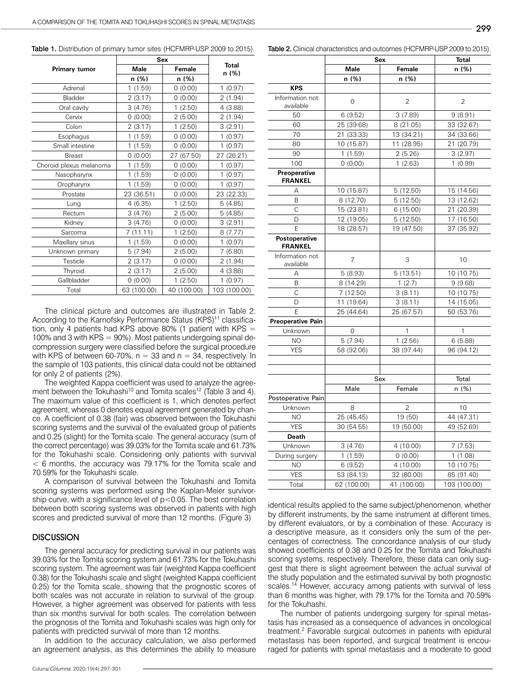|                         | Sex         |             |                       |  |
|-------------------------|-------------|-------------|-----------------------|--|
| <b>Primary tumor</b>    | <b>Male</b> | Female      | <b>Total</b><br>n (%) |  |
|                         | n (%)       | n (%)       |                       |  |
| Adrenal                 | 1(1.59)     | 0(0.00)     | 1(0.97)               |  |
| Bladder                 | 2(3.17)     | 0(0.00)     | 2(1.94)               |  |
| Oral cavity             | 3(4.76)     | 1(2.50)     | 4(3.88)               |  |
| Cervix                  | 0(0.00)     | 2(5.00)     | 2(1.94)               |  |
| Colon                   | 2(3.17)     | 1(2.50)     | 3(2.91)               |  |
| Esophagus               | 1(1.59)     | 0(0.00)     | 1(0.97)               |  |
| Small intestine         | 1(1.59)     | 0(0.00)     | 1(0.97)               |  |
| <b>Breast</b>           | 0(0.00)     | 27 (67.50)  | 27 (26.21)            |  |
| Choroid plexus melanoma | 1(1.59)     | 0(0.00)     | 1(0.97)               |  |
| Nasopharynx             | 1(1.59)     | 0(0.00)     | 1(0.97)               |  |
| Oropharynx              | 1(1.59)     | 0(0.00)     | 1(0.97)               |  |
| Prostate                | 23 (36.51)  | 0(0.00)     | 23 (22.33)            |  |
| Lung                    | 4(6.35)     | 1(2.50)     | 5(4.85)               |  |
| Rectum                  | 3(4.76)     | 2(5.00)     | 5(4.85)               |  |
| Kidney                  | 3(4.76)     | 0(0.00)     | 3(2.91)               |  |
| Sarcoma                 | 7(11.11)    | 1(2.50)     | 8(7.77)               |  |
| Maxillary sinus         | 1(1.59)     | 0(0.00)     | 1(0.97)               |  |
| Unknown primary         | 5(7.94)     | 2(5.00)     | 7(6.80)               |  |
| Testicle                | 2(3.17)     | 0(0.00)     | 2(1.94)               |  |
| Thyroid                 | 2(3.17)     | 2(5.00)     | 4 (3.88)              |  |
| Gallbladder             | 0(0.00)     | 1(2.50)     | 1(0.97)               |  |
| Total                   | 63 (100.00) | 40 (100.00) | 103 (100.00)          |  |

Table 1. Distribution of primary tumor sites (HCFMRP-USP 2009 to 2015).

The clinical picture and outcomes are illustrated in Table 2. According to the Karnofsky Performance Status (KPS)<sup>11</sup> classification, only 4 patients had KPS above 80% (1 patient with KPS  $=$ 100% and 3 with KPS = 90%). Most patients undergoing spinal decompression surgery were classified before the surgical procedure with KPS of between 60-70%,  $n = 33$  and  $n = 34$ , respectively. In the sample of 103 patients, this clinical data could not be obtained for only 2 of patients (2%).

The weighted Kappa coefficient was used to analyze the agreement between the Tokuhashi<sup>10</sup> and Tomita scales<sup>12</sup> (Table 3 and 4). The maximum value of this coefficient is 1, which denotes perfect agreement, whereas 0 denotes equal agreement generated by chance. A coefficient of 0.38 (fair) was observed between the Tokuhashi scoring systems and the survival of the evaluated group of patients and 0.25 (slight) for the Tomita scale. The general accuracy (sum of the correct percentage) was 39.03% for the Tomita scale and 61.73% for the Tokuhashi scale. Considering only patients with survival < 6 months, the accuracy was 79.17% for the Tomita scale and 70.59% for the Tokuhashi scale.

A comparison of survival between the Tokuhashi and Tomita scoring systems was performed using the Kaplan-Meier survivorship curve, with a significance level of p<0.05. The best correlation between both scoring systems was observed in patients with high scores and predicted survival of more than 12 months. (Figure 3)

#### **DISCUSSION**

The general accuracy for predicting survival in our patients was 39.03% for the Tomita scoring system and 61.73% for the Tokuhashi scoring system. The agreement was fair (weighted Kappa coefficient 0.38) for the Tokuhashi scale and slight (weighted Kappa coefficient 0.25) for the Tomita scale, showing that the prognostic scores of both scales was not accurate in relation to survival of the group. However, a higher agreement was observed for patients with less than six months survival for both scales. The correlation between the prognosis of the Tomita and Tokuhashi scales was high only for patients with predicted survival of more than 12 months.

In addition to the accuracy calculation, we also performed an agreement analysis, as this determines the ability to measure

|                                 | Sex            | <b>Total</b>   |                        |  |
|---------------------------------|----------------|----------------|------------------------|--|
|                                 | <b>Male</b>    | Female         | n (%)                  |  |
|                                 | n (%)          | n (%)          |                        |  |
| <b>KPS</b>                      |                |                |                        |  |
| Information not<br>available    | $\overline{0}$ | $\overline{2}$ | $\overline{2}$         |  |
| 50                              | 6(9.52)        | 3(7.89)        | 9(8.91)                |  |
| 60                              | 25 (39.68)     | 8 (21.05)      | 33 (32.67)             |  |
| 70                              | 21 (33.33)     | 13 (34.21)     | 34 (33.66)             |  |
| 80                              | 10 (15.87)     | 11 (28.95)     | 21 (20.79)             |  |
| 90                              | 1(1.59)        | 2(5.26)        | 3(2.97)                |  |
| 100                             | 0(0.00)        | 1(2.63)        | 1(0.99)                |  |
| Preoperative<br><b>FRANKEL</b>  |                |                |                        |  |
| Α                               | 10 (15.87)     | 5(12.50)       | 15 (14.56)             |  |
| B                               | 8 (12.70)      | 5(12.50)       | 13 (12.62)             |  |
| C                               | 15 (23.81)     | 6(15.00)       | 21 (20.39)             |  |
| D                               | 12 (19.05)     | 5(12.50)       | 17 (16.50)             |  |
| E                               | 18 (28.57)     | 19 (47.50)     | 37 (35.92)             |  |
| Postoperative<br><b>FRANKEL</b> |                |                |                        |  |
| Information not<br>available    | 7              | 3              | 10                     |  |
| А                               | 5(8.93)        | 5(13.51)       | $\frac{1}{10}$ (10.75) |  |
| B                               | 8 (14.29)      | 1(2.7)         | 9(9.68)                |  |
| C                               | 7(12.50)       | 3(8.11)        | 10 (10.75)             |  |
| D                               | 11 (19.64)     | 3(8.11)        | 14 (15.05)             |  |
| E                               | 25 (44.64)     | 25 (67.57)     | 50 (53.76)             |  |
| Preoperative Pain               |                |                |                        |  |
| Unknown                         | 0              | 1              | 1                      |  |
| NO                              | 5(7.94)        | 1(2.56)        | 6(5.88)                |  |
| <b>YES</b>                      | 58 (92.06)     | 38 (97.44)     | 96 (94.12)             |  |
|                                 |                |                |                        |  |
|                                 |                |                |                        |  |
|                                 | Sex            |                | Total                  |  |
|                                 | Male           | Female         | n(%)                   |  |
| Postoperative Pain              |                |                |                        |  |
| Unknown                         | 8              | $\overline{2}$ | 10                     |  |
| NO                              | 25 (45.45)     | 19 (50)        | 44 (47.31)             |  |
| <b>YES</b>                      | 30 (54.55)     | 19 (50.00)     | 49 (52.69)             |  |
| Death                           |                |                |                        |  |
| Unknown                         | 3(4.76)        | 4 (10.00)      | 7(7.53)                |  |
| During surgery                  | 1(1.59)        | 0(0.00)        | 1(1.08)                |  |
| NO                              | 6(9.52)        | 4(10.00)       | 10 (10.75)             |  |
| <b>YES</b>                      | 53 (84.13)     | 32 (80.00)     | 85 (91.40)             |  |
| Total                           | 62 (100.00)    | 41 (100.00)    | 103 (100.00)           |  |

Table 2. Clinical characteristics and outcomes (HCFMRP-USP 2009 to 2015).

identical results applied to the same subject/phenomenon, whether by different instruments, by the same instrument at different times, by different evaluators, or by a combination of these. Accuracy is a descriptive measure, as it considers only the sum of the percentages of correctness. The concordance analysis of our study showed coefficients of 0.38 and 0.25 for the Tomita and Tokuhashi scoring systems, respectively. Therefore, these data can only suggest that there is slight agreement between the actual survival of the study population and the estimated survival by both prognostic scales.<sup>14</sup> However, accuracy among patients with survival of less than 6 months was higher, with 79.17% for the Tomita and 70.59% for the Tokuhashi.

The number of patients undergoing surgery for spinal metastasis has increased as a consequence of advances in oncological treatment.2 Favorable surgical outcomes in patients with epidural metastasis has been reported, and surgical treatment is encouraged for patients with spinal metastasis and a moderate to good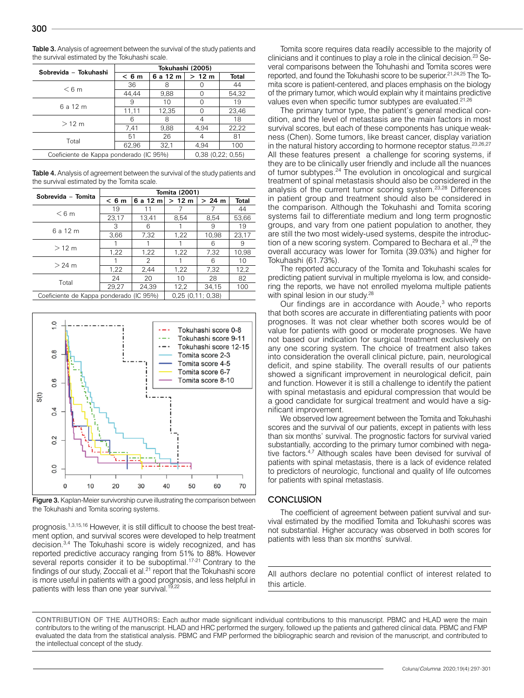| Sobrevida - Tokuhashi                   | Tokuhashi (2005) |          |       |                  |  |
|-----------------------------------------|------------------|----------|-------|------------------|--|
|                                         | < 6m             | 6 a 12 m | >12 m | <b>Total</b>     |  |
| < 6m                                    | 36               |          |       | 44               |  |
|                                         | 44.44            | 9,88     |       | 54,32            |  |
| 6 a 12 m                                | 9                | 10       |       | 19               |  |
|                                         | 11,11            | 12,35    |       | 23,46            |  |
| $>12$ m                                 | 6                | 8        | 4     | 18               |  |
|                                         | 7.41             | 9,88     | 4.94  | 22.22            |  |
| Total                                   | 51               | 26       | 4     | 81               |  |
|                                         | 62,96            | 32,1     | 4.94  | 100              |  |
| Coeficiente de Kappa ponderado (IC 95%) |                  |          |       | 0.38(0.22; 0.55) |  |

Table 3. Analysis of agreement between the survival of the study patients and the survival estimated by the Tokuhashi scale.

Table 4. Analysis of agreement between the survival of the study patients and the survival estimated by the Tomita scale.

| Sobrevida - Tomita                                          | Tomita (2001) |          |       |        |       |
|-------------------------------------------------------------|---------------|----------|-------|--------|-------|
|                                                             | < 6m          | 6 a 12 m | >12 m | > 24 m | Total |
| < 6m                                                        | 19            | 11       |       |        | 44    |
|                                                             | 23,17         | 13.41    | 8.54  | 8.54   | 53,66 |
| 6 a 12 m                                                    | З             | 6        |       | 9      | 19    |
|                                                             | 3.66          | 7,32     | 1,22  | 10.98  | 23,17 |
| $>12$ m                                                     |               |          |       | 6      | 9     |
|                                                             | 1,22          | 1,22     | 1,22  | 7,32   | 10.98 |
| $>24$ m                                                     |               | 2        |       | 6      | 10    |
|                                                             | 1,22          | 2,44     | 1,22  | 7,32   | 12,2  |
| Total                                                       | 24            | 20       | 10    | 28     | 82    |
|                                                             | 29.27         | 24.39    | 12,2  | 34.15  | 100   |
| 0.25(0.11; 0.38)<br>Coeficiente de Kappa ponderado (IC 95%) |               |          |       |        |       |



Figure 3. Kaplan-Meier survivorship curve illustrating the comparison between the Tokuhashi and Tomita scoring systems.

prognosis.1,3,15,16 However, it is still difficult to choose the best treatment option, and survival scores were developed to help treatment decision.3,4 The Tokuhashi score is widely recognized, and has reported predictive accuracy ranging from 51% to 88%. However several reports consider it to be suboptimal.<sup>17-21</sup> Contrary to the findings of our study, Zoccali et al.<sup>21</sup> report that the Tokuhashi score is more useful in patients with a good prognosis, and less helpful in patients with less than one year survival.<sup>19,22</sup>

Tomita score requires data readily accessible to the majority of clinicians and it continues to play a role in the clinical decision.23 Several comparisons between the Tohuhashi and Tomita scores were reported, and found the Tokuhashi score to be superior.21,24,25 The Tomita score is patient-centered, and places emphasis on the biology of the primary tumor, which would explain why it maintains predictive values even when specific tumor subtypes are evaluated.<sup>21,26</sup>

The primary tumor type, the patient's general medical condition, and the level of metastasis are the main factors in most survival scores, but each of these components has unique weakness (Chen). Some tumors, like breast cancer, display variation in the natural history according to hormone receptor status.<sup>23,26,27</sup> All these features present a challenge for scoring systems, if they are to be clinically user friendly and include all the nuances of tumor subtypes.<sup>24</sup> The evolution in oncological and surgical treatment of spinal metastasis should also be considered in the analysis of the current tumor scoring system.23,28 Differences in patient group and treatment should also be considered in the comparison. Although the Tokuhashi and Tomita scoring systems fail to differentiate medium and long term prognostic groups, and vary from one patient population to another, they are still the two most widely-used systems, despite the introduction of a new scoring system. Compared to Bechara et al.,<sup>29</sup> the overall accuracy was lower for Tomita (39.03%) and higher for Tokuhashi (61.73%).

The reported accuracy of the Tomita and Tokuhashi scales for predicting patient survival in multiple myeloma is low, and considering the reports, we have not enrolled myeloma multiple patients with spinal lesion in our study.<sup>28</sup>

Our findings are in accordance with Aoude,<sup>3</sup> who reports that both scores are accurate in differentiating patients with poor prognoses. It was not clear whether both scores would be of value for patients with good or moderate prognoses. We have not based our indication for surgical treatment exclusively on any one scoring system. The choice of treatment also takes into consideration the overall clinical picture, pain, neurological deficit, and spine stability. The overall results of our patients showed a significant improvement in neurological deficit, pain and function. However it is still a challenge to identify the patient with spinal metastasis and epidural compression that would be a good candidate for surgical treatment and would have a significant improvement.

We observed low agreement between the Tomita and Tokuhashi scores and the survival of our patients, except in patients with less than six months' survival. The prognostic factors for survival varied substantially, according to the primary tumor combined with negative factors.4,7 Although scales have been devised for survival of patients with spinal metastasis, there is a lack of evidence related to predictors of neurologic, functional and quality of life outcomes for patients with spinal metastasis.

## **CONCLUSION**

The coefficient of agreement between patient survival and survival estimated by the modified Tomita and Tokuhashi scores was not substantial. Higher accuracy was observed in both scores for patients with less than six months' survival.

All authors declare no potential conflict of interest related to this article.

**CONTRIBUTION OF THE AUTHORS:** Each author made significant individual contributions to this manuscript. PBMC and HLAD were the main contributors to the writing of the manuscript. HLAD and HRC performed the surgery, followed up the patients and gathered clinical data. PBMC and FMP evaluated the data from the statistical analysis. PBMC and FMP performed the bibliographic search and revision of the manuscript, and contributed to the intellectual concept of the study.